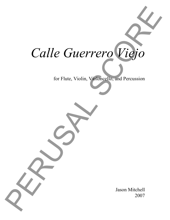## Calle Guerrero Viejo *Calle Guerrero Viejo*

for Flute, Violin, Violoncello, and Percussion

Jason Mitchell 2007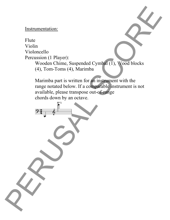Instrumentation:

Flute Violin Violoncello Percussion (1 Player): Wooden Chime, Suspended Cymbal (1), Wood blocks (4), Tom-Toms (4), Marimba

Marimba part is written for an instrument with the range notated below. If a comparable instrument is not available, please transpose out-of-range chords down by an octave.

Instrumentation:<br>
Flute<br>
Violin<br>
Violoncello<br>
Percussion (1 Player):<br>
Wooden Chine, Suspended Cymbal (1), Wood blocks<br>
(4), Tom-Toms (4), Marimba<br>
Marimba part is written for an instrument with the<br>
range order of a mismo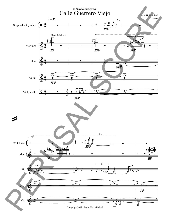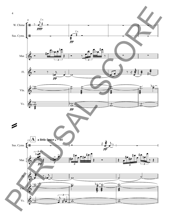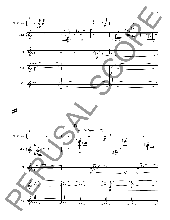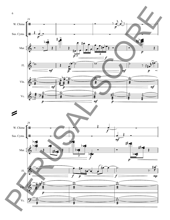